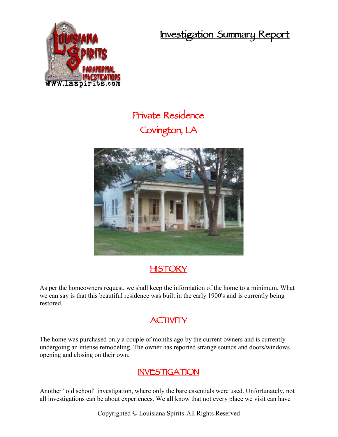**Investigation Summary Report**



## **Private Residence Covington, LA**



## **HISTORY**

As per the homeowners request, we shall keep the information of the home to a minimum. What we can say is that this beautiful residence was built in the early 1900's and is currently being restored.

## **ACTIVITY**

The home was purchased only a couple of months ago by the current owners and is currently undergoing an intense remodeling. The owner has reported strange sounds and doors/windows opening and closing on their own.

## **INVESTIGATION**

Another "old school" investigation, where only the bare essentials were used. Unfortunately, not all investigations can be about experiences. We all know that not every place we visit can have

Copyrighted © Louisiana Spirits-All Rights Reserved